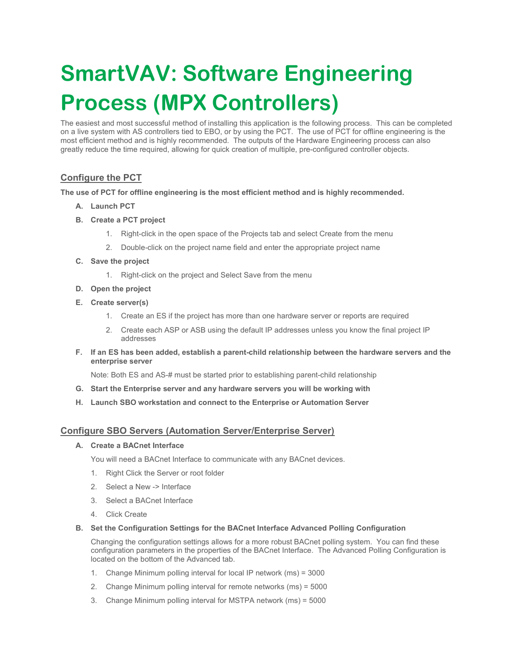# SmartVAV: Software Engineering Process (MPX Controllers)

The easiest and most successful method of installing this application is the following process. This can be completed on a live system with AS controllers tied to EBO, or by using the PCT. The use of PCT for offline engineering is the most efficient method and is highly recommended. The outputs of the Hardware Engineering process can also greatly reduce the time required, allowing for quick creation of multiple, pre-configured controller objects.

# Configure the PCT

The use of PCT for offline engineering is the most efficient method and is highly recommended.

- A. Launch PCT
- B. Create a PCT project
	- 1. Right-click in the open space of the Projects tab and select Create from the menu
	- 2. Double-click on the project name field and enter the appropriate project name
- C. Save the project
	- 1. Right-click on the project and Select Save from the menu
- D. Open the project
- E. Create server(s)
	- 1. Create an ES if the project has more than one hardware server or reports are required
	- 2. Create each ASP or ASB using the default IP addresses unless you know the final project IP addresses
- F. If an ES has been added, establish a parent-child relationship between the hardware servers and the enterprise server

Note: Both ES and AS-# must be started prior to establishing parent-child relationship

- G. Start the Enterprise server and any hardware servers you will be working with
- H. Launch SBO workstation and connect to the Enterprise or Automation Server

# Configure SBO Servers (Automation Server/Enterprise Server)

#### A. Create a BACnet Interface

You will need a BACnet Interface to communicate with any BACnet devices.

- 1. Right Click the Server or root folder
- 2. Select a New -> Interface
- 3. Select a BACnet Interface
- 4. Click Create
- B. Set the Configuration Settings for the BACnet Interface Advanced Polling Configuration

Changing the configuration settings allows for a more robust BACnet polling system. You can find these configuration parameters in the properties of the BACnet Interface. The Advanced Polling Configuration is located on the bottom of the Advanced tab.

- 1. Change Minimum polling interval for local IP network (ms) = 3000
- 2. Change Minimum polling interval for remote networks (ms) = 5000
- 3. Change Minimum polling interval for MSTPA network (ms) = 5000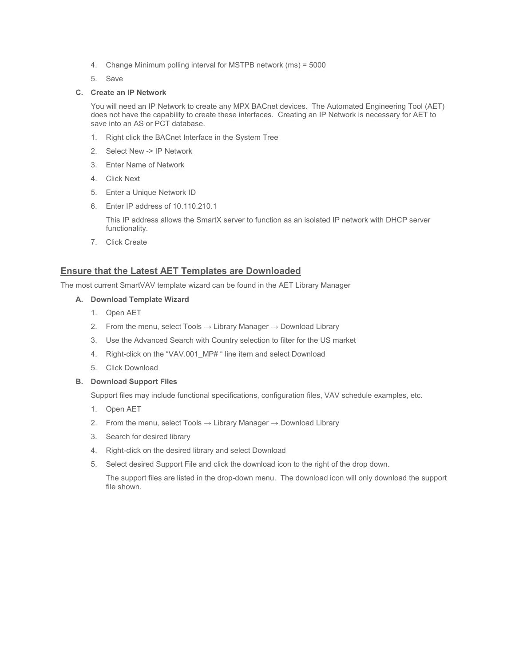- 4. Change Minimum polling interval for MSTPB network (ms) = 5000
- 5. Save

#### C. Create an IP Network

You will need an IP Network to create any MPX BACnet devices. The Automated Engineering Tool (AET) does not have the capability to create these interfaces. Creating an IP Network is necessary for AET to save into an AS or PCT database.

- 1. Right click the BACnet Interface in the System Tree
- 2. Select New -> IP Network
- 3. Enter Name of Network
- 4. Click Next
- 5. Enter a Unique Network ID
- 6. Enter IP address of 10.110.210.1

This IP address allows the SmartX server to function as an isolated IP network with DHCP server functionality.

7. Click Create

## Ensure that the Latest AET Templates are Downloaded

The most current SmartVAV template wizard can be found in the AET Library Manager

- A. Download Template Wizard
	- 1. Open AET
	- 2. From the menu, select Tools  $\rightarrow$  Library Manager  $\rightarrow$  Download Library
	- 3. Use the Advanced Search with Country selection to filter for the US market
	- 4. Right-click on the "VAV.001\_MP# " line item and select Download
	- 5. Click Download

#### B. Download Support Files

Support files may include functional specifications, configuration files, VAV schedule examples, etc.

- 1. Open AET
- 2. From the menu, select Tools  $\rightarrow$  Library Manager  $\rightarrow$  Download Library
- 3. Search for desired library
- 4. Right-click on the desired library and select Download
- 5. Select desired Support File and click the download icon to the right of the drop down.

The support files are listed in the drop-down menu. The download icon will only download the support file shown.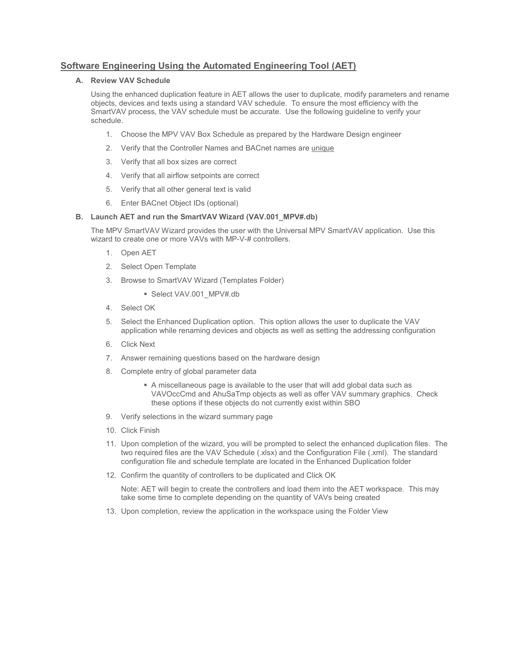# Software Engineering Using the Automated Engineering Tool (AET)

#### A. Review VAV Schedule

Using the enhanced duplication feature in AET allows the user to duplicate, modify parameters and rename objects, devices and texts using a standard VAV schedule. To ensure the most efficiency with the SmartVAV process, the VAV schedule must be accurate. Use the following guideline to verify your schedule.

- 1. Choose the MPV VAV Box Schedule as prepared by the Hardware Design engineer
- 2. Verify that the Controller Names and BACnet names are unique
- 3. Verify that all box sizes are correct
- 4. Verify that all airflow setpoints are correct
- 5. Verify that all other general text is valid
- 6. Enter BACnet Object IDs (optional)

#### B. Launch AET and run the SmartVAV Wizard (VAV.001 MPV#.db)

The MPV SmartVAV Wizard provides the user with the Universal MPV SmartVAV application. Use this wizard to create one or more VAVs with MP-V-# controllers.

- 1. Open AET
- 2. Select Open Template
- 3. Browse to SmartVAV Wizard (Templates Folder)
	- Select VAV.001\_MPV#.db
- 4. Select OK
- 5. Select the Enhanced Duplication option. This option allows the user to duplicate the VAV application while renaming devices and objects as well as setting the addressing configuration
- 6. Click Next
- 7. Answer remaining questions based on the hardware design
- 8. Complete entry of global parameter data
	- A miscellaneous page is available to the user that will add global data such as VAVOccCmd and AhuSaTmp objects as well as offer VAV summary graphics. Check these options if these objects do not currently exist within SBO
- 9. Verify selections in the wizard summary page
- 10. Click Finish
- 11. Upon completion of the wizard, you will be prompted to select the enhanced duplication files. The two required files are the VAV Schedule (.xlsx) and the Configuration File (.xml). The standard configuration file and schedule template are located in the Enhanced Duplication folder
- 12. Confirm the quantity of controllers to be duplicated and Click OK

Note: AET will begin to create the controllers and load them into the AET workspace. This may take some time to complete depending on the quantity of VAVs being created

13. Upon completion, review the application in the workspace using the Folder View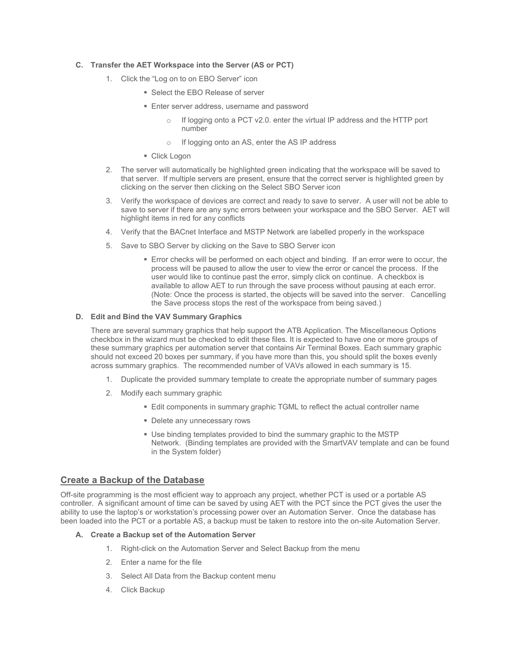#### C. Transfer the AET Workspace into the Server (AS or PCT)

- 1. Click the "Log on to on EBO Server" icon
	- **Select the EBO Release of server**
	- **Enter server address, username and password** 
		- o If logging onto a PCT v2.0. enter the virtual IP address and the HTTP port number
		- o If logging onto an AS, enter the AS IP address
	- **Click Logon**
- 2. The server will automatically be highlighted green indicating that the workspace will be saved to that server. If multiple servers are present, ensure that the correct server is highlighted green by clicking on the server then clicking on the Select SBO Server icon
- 3. Verify the workspace of devices are correct and ready to save to server. A user will not be able to save to server if there are any sync errors between your workspace and the SBO Server. AET will highlight items in red for any conflicts
- 4. Verify that the BACnet Interface and MSTP Network are labelled properly in the workspace
- 5. Save to SBO Server by clicking on the Save to SBO Server icon
	- Error checks will be performed on each object and binding. If an error were to occur, the process will be paused to allow the user to view the error or cancel the process. If the user would like to continue past the error, simply click on continue. A checkbox is available to allow AET to run through the save process without pausing at each error. (Note: Once the process is started, the objects will be saved into the server. Cancelling the Save process stops the rest of the workspace from being saved.)

#### D. Edit and Bind the VAV Summary Graphics

There are several summary graphics that help support the ATB Application. The Miscellaneous Options checkbox in the wizard must be checked to edit these files. It is expected to have one or more groups of these summary graphics per automation server that contains Air Terminal Boxes. Each summary graphic should not exceed 20 boxes per summary, if you have more than this, you should split the boxes evenly across summary graphics. The recommended number of VAVs allowed in each summary is 15.

- 1. Duplicate the provided summary template to create the appropriate number of summary pages
- 2. Modify each summary graphic
	- Edit components in summary graphic TGML to reflect the actual controller name
	- Delete any unnecessary rows
	- Use binding templates provided to bind the summary graphic to the MSTP Network. (Binding templates are provided with the SmartVAV template and can be found in the System folder)

#### Create a Backup of the Database

Off-site programming is the most efficient way to approach any project, whether PCT is used or a portable AS controller. A significant amount of time can be saved by using AET with the PCT since the PCT gives the user the ability to use the laptop's or workstation's processing power over an Automation Server. Once the database has been loaded into the PCT or a portable AS, a backup must be taken to restore into the on-site Automation Server.

#### A. Create a Backup set of the Automation Server

- 1. Right-click on the Automation Server and Select Backup from the menu
- 2. Enter a name for the file
- 3. Select All Data from the Backup content menu
- 4. Click Backup